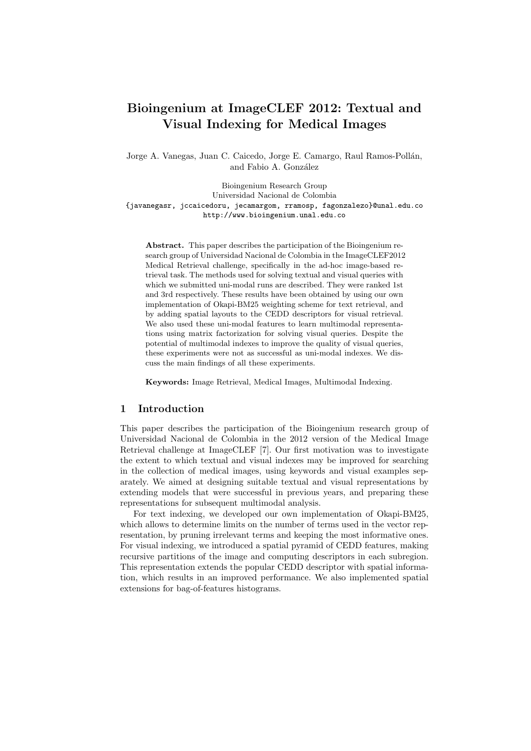# Bioingenium at ImageCLEF 2012: Textual and Visual Indexing for Medical Images

Jorge A. Vanegas, Juan C. Caicedo, Jorge E. Camargo, Raul Ramos-Pollán, and Fabio A. González

Bioingenium Research Group Universidad Nacional de Colombia {javanegasr, jccaicedoru, jecamargom, rramosp, fagonzalezo}@unal.edu.co http://www.bioingenium.unal.edu.co

Abstract. This paper describes the participation of the Bioingenium research group of Universidad Nacional de Colombia in the ImageCLEF2012 Medical Retrieval challenge, specifically in the ad-hoc image-based retrieval task. The methods used for solving textual and visual queries with which we submitted uni-modal runs are described. They were ranked 1st and 3rd respectively. These results have been obtained by using our own implementation of Okapi-BM25 weighting scheme for text retrieval, and by adding spatial layouts to the CEDD descriptors for visual retrieval. We also used these uni-modal features to learn multimodal representations using matrix factorization for solving visual queries. Despite the potential of multimodal indexes to improve the quality of visual queries, these experiments were not as successful as uni-modal indexes. We discuss the main findings of all these experiments.

Keywords: Image Retrieval, Medical Images, Multimodal Indexing.

# 1 Introduction

This paper describes the participation of the Bioingenium research group of Universidad Nacional de Colombia in the 2012 version of the Medical Image Retrieval challenge at ImageCLEF [7]. Our first motivation was to investigate the extent to which textual and visual indexes may be improved for searching in the collection of medical images, using keywords and visual examples separately. We aimed at designing suitable textual and visual representations by extending models that were successful in previous years, and preparing these representations for subsequent multimodal analysis.

For text indexing, we developed our own implementation of Okapi-BM25, which allows to determine limits on the number of terms used in the vector representation, by pruning irrelevant terms and keeping the most informative ones. For visual indexing, we introduced a spatial pyramid of CEDD features, making recursive partitions of the image and computing descriptors in each subregion. This representation extends the popular CEDD descriptor with spatial information, which results in an improved performance. We also implemented spatial extensions for bag-of-features histograms.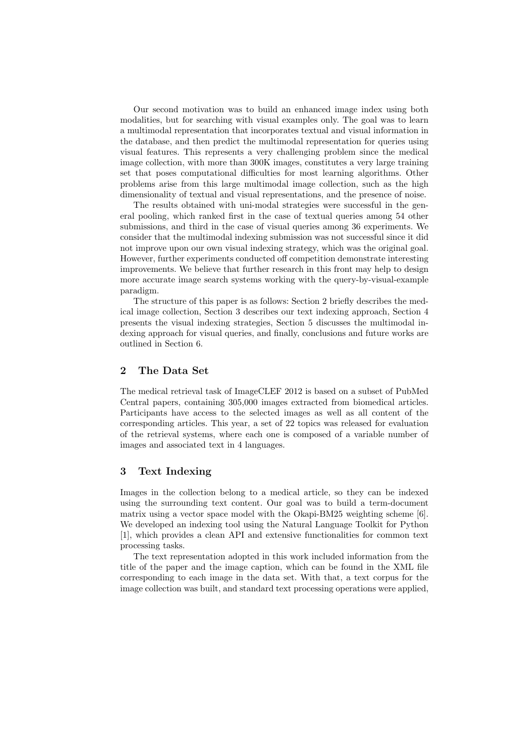Our second motivation was to build an enhanced image index using both modalities, but for searching with visual examples only. The goal was to learn a multimodal representation that incorporates textual and visual information in the database, and then predict the multimodal representation for queries using visual features. This represents a very challenging problem since the medical image collection, with more than 300K images, constitutes a very large training set that poses computational difficulties for most learning algorithms. Other problems arise from this large multimodal image collection, such as the high dimensionality of textual and visual representations, and the presence of noise.

The results obtained with uni-modal strategies were successful in the general pooling, which ranked first in the case of textual queries among 54 other submissions, and third in the case of visual queries among 36 experiments. We consider that the multimodal indexing submission was not successful since it did not improve upon our own visual indexing strategy, which was the original goal. However, further experiments conducted off competition demonstrate interesting improvements. We believe that further research in this front may help to design more accurate image search systems working with the query-by-visual-example paradigm.

The structure of this paper is as follows: Section 2 briefly describes the medical image collection, Section 3 describes our text indexing approach, Section 4 presents the visual indexing strategies, Section 5 discusses the multimodal indexing approach for visual queries, and finally, conclusions and future works are outlined in Section 6.

# 2 The Data Set

The medical retrieval task of ImageCLEF 2012 is based on a subset of PubMed Central papers, containing 305,000 images extracted from biomedical articles. Participants have access to the selected images as well as all content of the corresponding articles. This year, a set of 22 topics was released for evaluation of the retrieval systems, where each one is composed of a variable number of images and associated text in 4 languages.

# 3 Text Indexing

Images in the collection belong to a medical article, so they can be indexed using the surrounding text content. Our goal was to build a term-document matrix using a vector space model with the Okapi-BM25 weighting scheme [6]. We developed an indexing tool using the Natural Language Toolkit for Python [1], which provides a clean API and extensive functionalities for common text processing tasks.

The text representation adopted in this work included information from the title of the paper and the image caption, which can be found in the XML file corresponding to each image in the data set. With that, a text corpus for the image collection was built, and standard text processing operations were applied,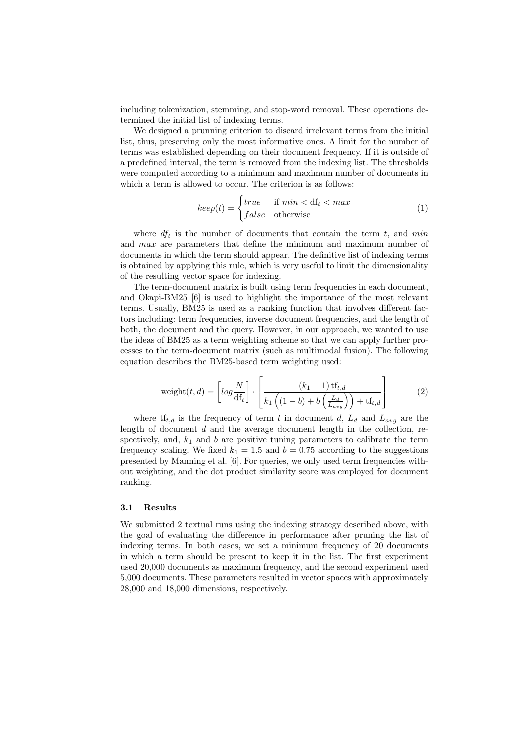including tokenization, stemming, and stop-word removal. These operations determined the initial list of indexing terms.

We designed a prunning criterion to discard irrelevant terms from the initial list, thus, preserving only the most informative ones. A limit for the number of terms was established depending on their document frequency. If it is outside of a predefined interval, the term is removed from the indexing list. The thresholds were computed according to a minimum and maximum number of documents in which a term is allowed to occur. The criterion is as follows:

$$
keep(t) = \begin{cases} true & \text{if } min < df_t < max \\ false & \text{otherwise} \end{cases}
$$
 (1)

where  $df_t$  is the number of documents that contain the term t, and min and max are parameters that define the minimum and maximum number of documents in which the term should appear. The definitive list of indexing terms is obtained by applying this rule, which is very useful to limit the dimensionality of the resulting vector space for indexing.

The term-document matrix is built using term frequencies in each document, and Okapi-BM25 [6] is used to highlight the importance of the most relevant terms. Usually, BM25 is used as a ranking function that involves different factors including: term frequencies, inverse document frequencies, and the length of both, the document and the query. However, in our approach, we wanted to use the ideas of BM25 as a term weighting scheme so that we can apply further processes to the term-document matrix (such as multimodal fusion). The following equation describes the BM25-based term weighting used:

$$
\text{weight}(t, d) = \left[ \log \frac{N}{df_t} \right] \cdot \left[ \frac{(k_1 + 1) \operatorname{tf}_{t, d}}{k_1 \left( (1 - b) + b \left( \frac{L_d}{L_{avg}} \right) \right) + \operatorname{tf}_{t, d}} \right] \tag{2}
$$

where  $\text{tf}_{t,d}$  is the frequency of term t in document d,  $L_d$  and  $L_{avg}$  are the length of document  $d$  and the average document length in the collection, respectively, and,  $k_1$  and b are positive tuning parameters to calibrate the term frequency scaling. We fixed  $k_1 = 1.5$  and  $b = 0.75$  according to the suggestions presented by Manning et al. [6]. For queries, we only used term frequencies without weighting, and the dot product similarity score was employed for document ranking.

#### 3.1 Results

We submitted 2 textual runs using the indexing strategy described above, with the goal of evaluating the difference in performance after pruning the list of indexing terms. In both cases, we set a minimum frequency of 20 documents in which a term should be present to keep it in the list. The first experiment used 20,000 documents as maximum frequency, and the second experiment used 5,000 documents. These parameters resulted in vector spaces with approximately 28,000 and 18,000 dimensions, respectively.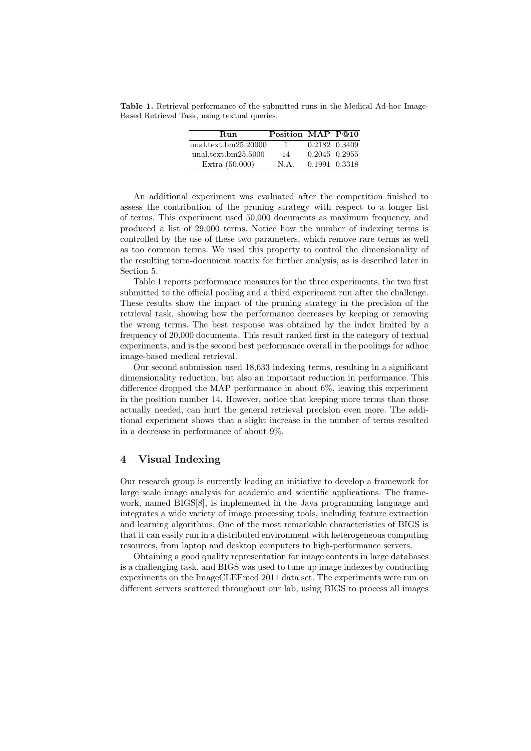Table 1. Retrieval performance of the submitted runs in the Medical Ad-hoc Image-Based Retrieval Task, using textual queries.

| Run                  | Position MAP P@10 |               |  |
|----------------------|-------------------|---------------|--|
| unal.text.bm25.20000 | $\mathbf{1}$      | 0.2182 0.3409 |  |
| unal.text.bm25.5000  | 14                | 0.2045 0.2955 |  |
| Extra $(50,000)$     | N.A.              | 0.1991 0.3318 |  |

An additional experiment was evaluated after the competition finished to assess the contribution of the pruning strategy with respect to a longer list of terms. This experiment used 50,000 documents as maximum frequency, and produced a list of 29,000 terms. Notice how the number of indexing terms is controlled by the use of these two parameters, which remove rare terms as well as too common terms. We used this property to control the dimensionality of the resulting term-document matrix for further analysis, as is described later in Section 5.

Table 1 reports performance measures for the three experiments, the two first submitted to the official pooling and a third experiment run after the challenge. These results show the impact of the pruning strategy in the precision of the retrieval task, showing how the performance decreases by keeping or removing the wrong terms. The best response was obtained by the index limited by a frequency of 20,000 documents. This result ranked first in the category of textual experiments, and is the second best performance overall in the poolings for adhoc image-based medical retrieval.

Our second submission used 18,633 indexing terms, resulting in a significant dimensionality reduction, but also an important reduction in performance. This difference dropped the MAP performance in about 6%, leaving this experiment in the position number 14. However, notice that keeping more terms than those actually needed, can hurt the general retrieval precision even more. The additional experiment shows that a slight increase in the number of terms resulted in a decrease in performance of about 9%.

# 4 Visual Indexing

Our research group is currently leading an initiative to develop a framework for large scale image analysis for academic and scientific applications. The framework, named BIGS[8], is implemented in the Java programming language and integrates a wide variety of image processing tools, including feature extraction and learning algorithms. One of the most remarkable characteristics of BIGS is that it can easily run in a distributed environment with heterogeneous computing resources, from laptop and desktop computers to high-performance servers.

Obtaining a good quality representation for image contents in large databases is a challenging task, and BIGS was used to tune up image indexes by conducting experiments on the ImageCLEFmed 2011 data set. The experiments were run on different servers scattered throughout our lab, using BIGS to process all images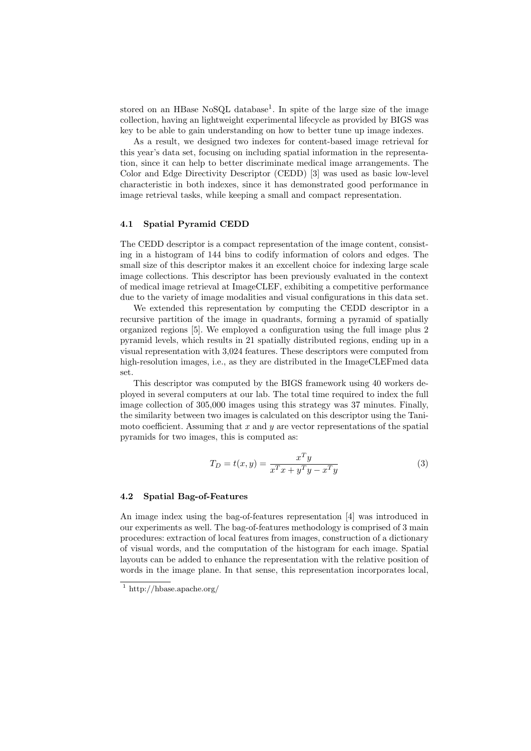stored on an HBase NoSQL database<sup>1</sup>. In spite of the large size of the image collection, having an lightweight experimental lifecycle as provided by BIGS was key to be able to gain understanding on how to better tune up image indexes.

As a result, we designed two indexes for content-based image retrieval for this year's data set, focusing on including spatial information in the representation, since it can help to better discriminate medical image arrangements. The Color and Edge Directivity Descriptor (CEDD) [3] was used as basic low-level characteristic in both indexes, since it has demonstrated good performance in image retrieval tasks, while keeping a small and compact representation.

#### 4.1 Spatial Pyramid CEDD

The CEDD descriptor is a compact representation of the image content, consisting in a histogram of 144 bins to codify information of colors and edges. The small size of this descriptor makes it an excellent choice for indexing large scale image collections. This descriptor has been previously evaluated in the context of medical image retrieval at ImageCLEF, exhibiting a competitive performance due to the variety of image modalities and visual configurations in this data set.

We extended this representation by computing the CEDD descriptor in a recursive partition of the image in quadrants, forming a pyramid of spatially organized regions [5]. We employed a configuration using the full image plus 2 pyramid levels, which results in 21 spatially distributed regions, ending up in a visual representation with 3,024 features. These descriptors were computed from high-resolution images, i.e., as they are distributed in the ImageCLEF med data set.

This descriptor was computed by the BIGS framework using 40 workers deployed in several computers at our lab. The total time required to index the full image collection of 305,000 images using this strategy was 37 minutes. Finally, the similarity between two images is calculated on this descriptor using the Tanimoto coefficient. Assuming that  $x$  and  $y$  are vector representations of the spatial pyramids for two images, this is computed as:

$$
T_D = t(x, y) = \frac{x^T y}{x^T x + y^T y - x^T y}
$$
\n
$$
\tag{3}
$$

#### 4.2 Spatial Bag-of-Features

An image index using the bag-of-features representation [4] was introduced in our experiments as well. The bag-of-features methodology is comprised of 3 main procedures: extraction of local features from images, construction of a dictionary of visual words, and the computation of the histogram for each image. Spatial layouts can be added to enhance the representation with the relative position of words in the image plane. In that sense, this representation incorporates local,

<sup>&</sup>lt;sup>1</sup> http://hbase.apache.org/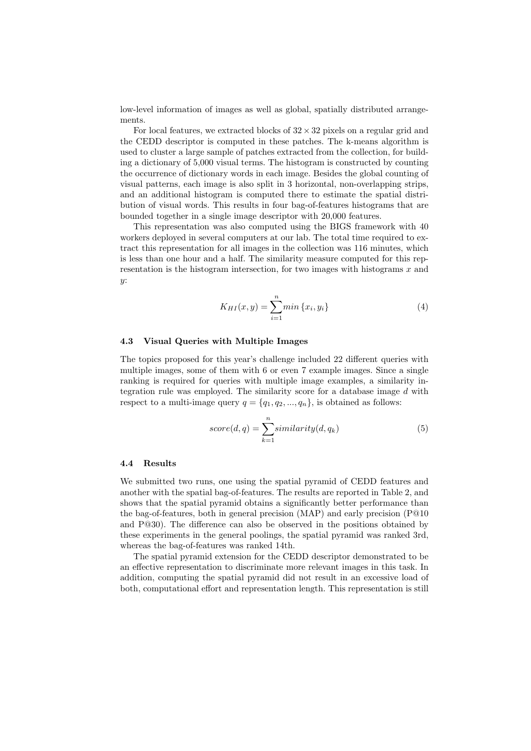low-level information of images as well as global, spatially distributed arrangements.

For local features, we extracted blocks of  $32 \times 32$  pixels on a regular grid and the CEDD descriptor is computed in these patches. The k-means algorithm is used to cluster a large sample of patches extracted from the collection, for building a dictionary of 5,000 visual terms. The histogram is constructed by counting the occurrence of dictionary words in each image. Besides the global counting of visual patterns, each image is also split in 3 horizontal, non-overlapping strips, and an additional histogram is computed there to estimate the spatial distribution of visual words. This results in four bag-of-features histograms that are bounded together in a single image descriptor with 20,000 features.

This representation was also computed using the BIGS framework with 40 workers deployed in several computers at our lab. The total time required to extract this representation for all images in the collection was 116 minutes, which is less than one hour and a half. The similarity measure computed for this representation is the histogram intersection, for two images with histograms  $x$  and  $y$ :

$$
K_{HI}(x,y) = \sum_{i=1}^{n} \min \{x_i, y_i\} \tag{4}
$$

#### 4.3 Visual Queries with Multiple Images

The topics proposed for this year's challenge included 22 different queries with multiple images, some of them with 6 or even 7 example images. Since a single ranking is required for queries with multiple image examples, a similarity integration rule was employed. The similarity score for a database image d with respect to a multi-image query  $q = \{q_1, q_2, ..., q_n\}$ , is obtained as follows:

$$
score(d, q) = \sum_{k=1}^{n} similarity(d, q_k)
$$
\n(5)

#### 4.4 Results

We submitted two runs, one using the spatial pyramid of CEDD features and another with the spatial bag-of-features. The results are reported in Table 2, and shows that the spatial pyramid obtains a significantly better performance than the bag-of-features, both in general precision (MAP) and early precision (P@10 and P@30). The difference can also be observed in the positions obtained by these experiments in the general poolings, the spatial pyramid was ranked 3rd, whereas the bag-of-features was ranked 14th.

The spatial pyramid extension for the CEDD descriptor demonstrated to be an effective representation to discriminate more relevant images in this task. In addition, computing the spatial pyramid did not result in an excessive load of both, computational effort and representation length. This representation is still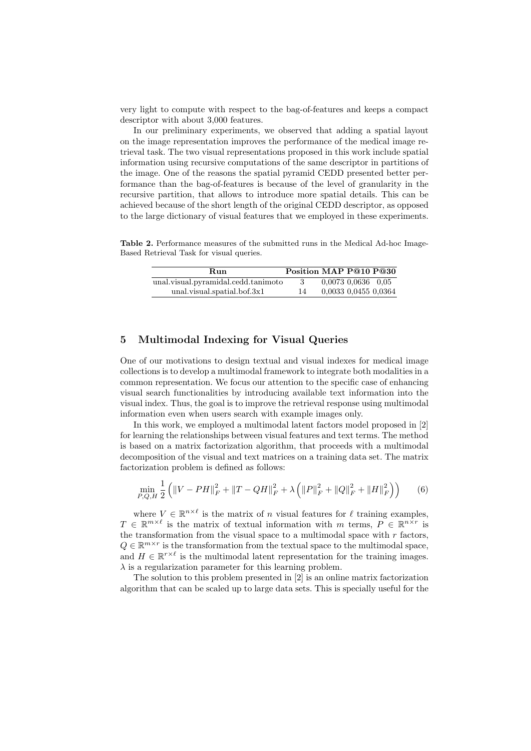very light to compute with respect to the bag-of-features and keeps a compact descriptor with about 3,000 features.

In our preliminary experiments, we observed that adding a spatial layout on the image representation improves the performance of the medical image retrieval task. The two visual representations proposed in this work include spatial information using recursive computations of the same descriptor in partitions of the image. One of the reasons the spatial pyramid CEDD presented better performance than the bag-of-features is because of the level of granularity in the recursive partition, that allows to introduce more spatial details. This can be achieved because of the short length of the original CEDD descriptor, as opposed to the large dictionary of visual features that we employed in these experiments.

Table 2. Performance measures of the submitted runs in the Medical Ad-hoc Image-Based Retrieval Task for visual queries.

| Run                                 | Position MAP P@10 P@30 |                          |  |
|-------------------------------------|------------------------|--------------------------|--|
| unal.visual.pyramidal.cedd.tanimoto |                        | $0.0073$ $0.0636$ $0.05$ |  |
| unal.visual.spatial.bof.3x1         |                        | 0.0033 0.0455 0.0364     |  |

# 5 Multimodal Indexing for Visual Queries

One of our motivations to design textual and visual indexes for medical image collections is to develop a multimodal framework to integrate both modalities in a common representation. We focus our attention to the specific case of enhancing visual search functionalities by introducing available text information into the visual index. Thus, the goal is to improve the retrieval response using multimodal information even when users search with example images only.

In this work, we employed a multimodal latent factors model proposed in [2] for learning the relationships between visual features and text terms. The method is based on a matrix factorization algorithm, that proceeds with a multimodal decomposition of the visual and text matrices on a training data set. The matrix factorization problem is defined as follows:

$$
\min_{P,Q,H} \frac{1}{2} \left( \|V - PH\|_F^2 + \|T - QH\|_F^2 + \lambda \left( \|P\|_F^2 + \|Q\|_F^2 + \|H\|_F^2 \right) \right) \tag{6}
$$

where  $V \in \mathbb{R}^{n \times \ell}$  is the matrix of n visual features for  $\ell$  training examples,  $T \in \mathbb{R}^{m \times \ell}$  is the matrix of textual information with m terms,  $P \in \mathbb{R}^{n \times r}$  is the transformation from the visual space to a multimodal space with  $r$  factors,  $Q \in \mathbb{R}^{m \times r}$  is the transformation from the textual space to the multimodal space, and  $H \in \mathbb{R}^{r \times \ell}$  is the multimodal latent representation for the training images.  $\lambda$  is a regularization parameter for this learning problem.

The solution to this problem presented in [2] is an online matrix factorization algorithm that can be scaled up to large data sets. This is specially useful for the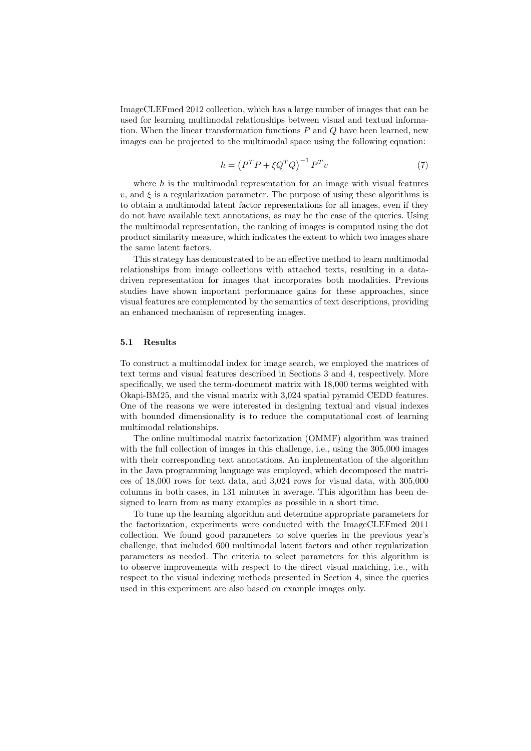ImageCLEFmed 2012 collection, which has a large number of images that can be used for learning multimodal relationships between visual and textual information. When the linear transformation functions  $P$  and  $Q$  have been learned, new images can be projected to the multimodal space using the following equation:

$$
h = \left(P^T P + \xi Q^T Q\right)^{-1} P^T v \tag{7}
$$

where  $h$  is the multimodal representation for an image with visual features v, and  $\xi$  is a regularization parameter. The purpose of using these algorithms is to obtain a multimodal latent factor representations for all images, even if they do not have available text annotations, as may be the case of the queries. Using the multimodal representation, the ranking of images is computed using the dot product similarity measure, which indicates the extent to which two images share the same latent factors.

This strategy has demonstrated to be an effective method to learn multimodal relationships from image collections with attached texts, resulting in a datadriven representation for images that incorporates both modalities. Previous studies have shown important performance gains for these approaches, since visual features are complemented by the semantics of text descriptions, providing an enhanced mechanism of representing images.

#### 5.1 Results

To construct a multimodal index for image search, we employed the matrices of text terms and visual features described in Sections 3 and 4, respectively. More specifically, we used the term-document matrix with 18,000 terms weighted with Okapi-BM25, and the visual matrix with 3,024 spatial pyramid CEDD features. One of the reasons we were interested in designing textual and visual indexes with bounded dimensionality is to reduce the computational cost of learning multimodal relationships.

The online multimodal matrix factorization (OMMF) algorithm was trained with the full collection of images in this challenge, i.e., using the 305,000 images with their corresponding text annotations. An implementation of the algorithm in the Java programming language was employed, which decomposed the matrices of 18,000 rows for text data, and 3,024 rows for visual data, with 305,000 columns in both cases, in 131 minutes in average. This algorithm has been designed to learn from as many examples as possible in a short time.

To tune up the learning algorithm and determine appropriate parameters for the factorization, experiments were conducted with the ImageCLEFmed 2011 collection. We found good parameters to solve queries in the previous year's challenge, that included 600 multimodal latent factors and other regularization parameters as needed. The criteria to select parameters for this algorithm is to observe improvements with respect to the direct visual matching, i.e., with respect to the visual indexing methods presented in Section 4, since the queries used in this experiment are also based on example images only.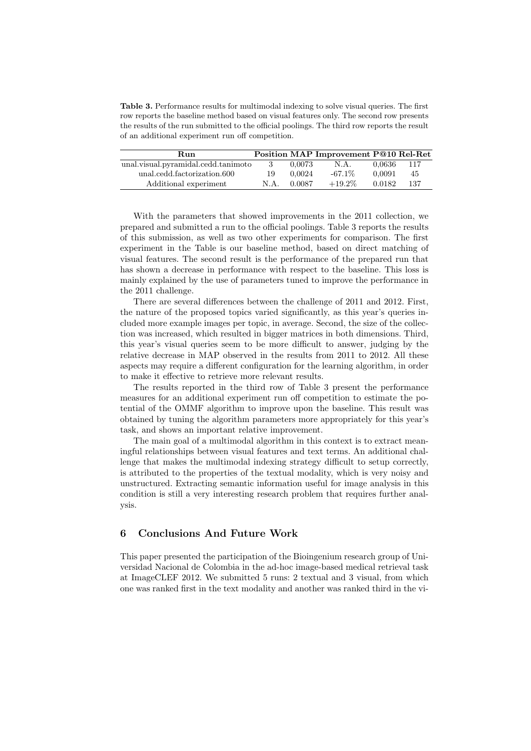Table 3. Performance results for multimodal indexing to solve visual queries. The first row reports the baseline method based on visual features only. The second row presents the results of the run submitted to the official poolings. The third row reports the result of an additional experiment run off competition.

| Run                                 |      |        | Position MAP Improvement P@10 Rel-Ret |        |     |
|-------------------------------------|------|--------|---------------------------------------|--------|-----|
| unal.visual.pyramidal.cedd.tanimoto | 3    | 0.0073 | N.A.                                  | 0.0636 | 117 |
| unal.cedd.factorization.600         | 19   | 0.0024 | $-67.1\%$                             | 0.0091 | 45  |
| Additional experiment               | N.A. | 0.0087 | $+19.2\%$                             | 0.0182 | 137 |

With the parameters that showed improvements in the 2011 collection, we prepared and submitted a run to the official poolings. Table 3 reports the results of this submission, as well as two other experiments for comparison. The first experiment in the Table is our baseline method, based on direct matching of visual features. The second result is the performance of the prepared run that has shown a decrease in performance with respect to the baseline. This loss is mainly explained by the use of parameters tuned to improve the performance in the 2011 challenge.

There are several differences between the challenge of 2011 and 2012. First, the nature of the proposed topics varied significantly, as this year's queries included more example images per topic, in average. Second, the size of the collection was increased, which resulted in bigger matrices in both dimensions. Third, this year's visual queries seem to be more difficult to answer, judging by the relative decrease in MAP observed in the results from 2011 to 2012. All these aspects may require a different configuration for the learning algorithm, in order to make it effective to retrieve more relevant results.

The results reported in the third row of Table 3 present the performance measures for an additional experiment run off competition to estimate the potential of the OMMF algorithm to improve upon the baseline. This result was obtained by tuning the algorithm parameters more appropriately for this year's task, and shows an important relative improvement.

The main goal of a multimodal algorithm in this context is to extract meaningful relationships between visual features and text terms. An additional challenge that makes the multimodal indexing strategy difficult to setup correctly, is attributed to the properties of the textual modality, which is very noisy and unstructured. Extracting semantic information useful for image analysis in this condition is still a very interesting research problem that requires further analysis.

# 6 Conclusions And Future Work

This paper presented the participation of the Bioingenium research group of Universidad Nacional de Colombia in the ad-hoc image-based medical retrieval task at ImageCLEF 2012. We submitted 5 runs: 2 textual and 3 visual, from which one was ranked first in the text modality and another was ranked third in the vi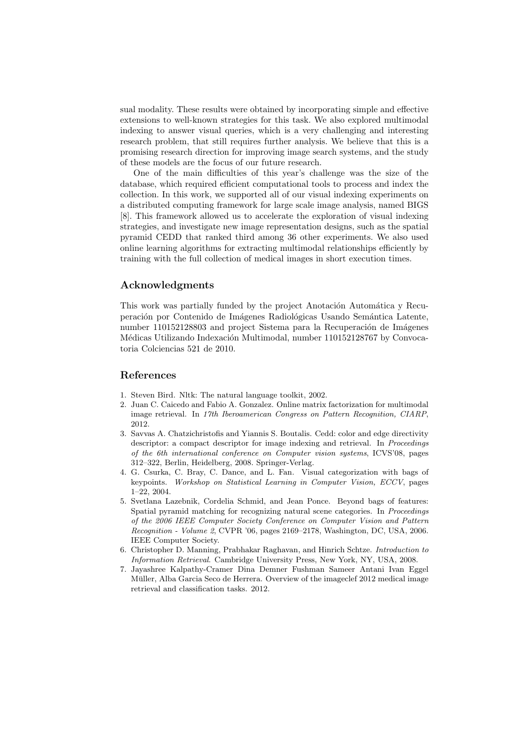sual modality. These results were obtained by incorporating simple and effective extensions to well-known strategies for this task. We also explored multimodal indexing to answer visual queries, which is a very challenging and interesting research problem, that still requires further analysis. We believe that this is a promising research direction for improving image search systems, and the study of these models are the focus of our future research.

One of the main difficulties of this year's challenge was the size of the database, which required efficient computational tools to process and index the collection. In this work, we supported all of our visual indexing experiments on a distributed computing framework for large scale image analysis, named BIGS [8]. This framework allowed us to accelerate the exploration of visual indexing strategies, and investigate new image representation designs, such as the spatial pyramid CEDD that ranked third among 36 other experiments. We also used online learning algorithms for extracting multimodal relationships efficiently by training with the full collection of medical images in short execution times.

### Acknowledgments

This work was partially funded by the project Anotación Automática y Recuperación por Contenido de Imágenes Radiológicas Usando Semántica Latente, number 110152128803 and project Sistema para la Recuperación de Imágenes Médicas Utilizando Indexación Multimodal, number 110152128767 by Convocatoria Colciencias 521 de 2010.

## References

- 1. Steven Bird. Nltk: The natural language toolkit, 2002.
- 2. Juan C. Caicedo and Fabio A. Gonzalez. Online matrix factorization for multimodal image retrieval. In 17th Iberoamerican Congress on Pattern Recognition, CIARP, 2012.
- 3. Savvas A. Chatzichristofis and Yiannis S. Boutalis. Cedd: color and edge directivity descriptor: a compact descriptor for image indexing and retrieval. In *Proceedings* of the 6th international conference on Computer vision systems, ICVS'08, pages 312–322, Berlin, Heidelberg, 2008. Springer-Verlag.
- 4. G. Csurka, C. Bray, C. Dance, and L. Fan. Visual categorization with bags of keypoints. Workshop on Statistical Learning in Computer Vision, ECCV, pages 1–22, 2004.
- 5. Svetlana Lazebnik, Cordelia Schmid, and Jean Ponce. Beyond bags of features: Spatial pyramid matching for recognizing natural scene categories. In Proceedings of the 2006 IEEE Computer Society Conference on Computer Vision and Pattern Recognition - Volume 2, CVPR '06, pages 2169–2178, Washington, DC, USA, 2006. IEEE Computer Society.
- 6. Christopher D. Manning, Prabhakar Raghavan, and Hinrich Schtze. Introduction to Information Retrieval. Cambridge University Press, New York, NY, USA, 2008.
- 7. Jayashree Kalpathy-Cramer Dina Demner Fushman Sameer Antani Ivan Eggel Müller, Alba Garcia Seco de Herrera. Overview of the imageclef 2012 medical image retrieval and classification tasks. 2012.